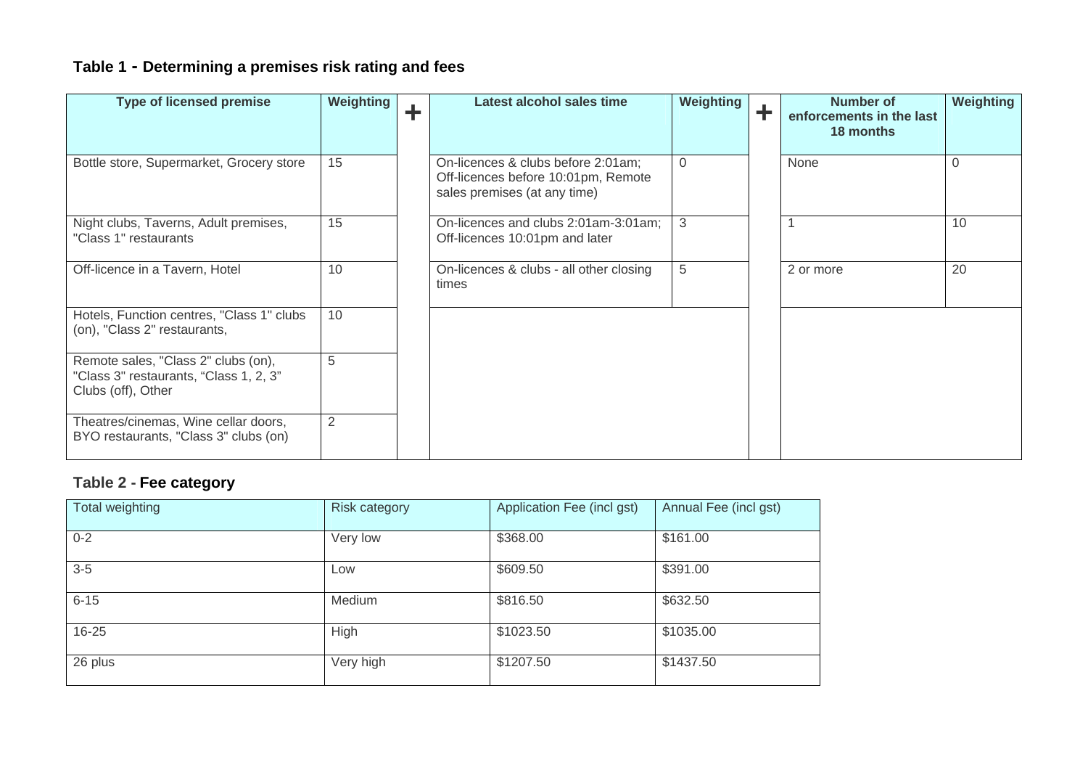# **Table 1 - Determining a premises risk rating and fees**

| <b>Type of licensed premise</b>                                                                     | Weighting | ÷ | Latest alcohol sales time                                                                                 | Weighting | Ŧ | <b>Number of</b><br>enforcements in the last<br>18 months | <b>Weighting</b> |
|-----------------------------------------------------------------------------------------------------|-----------|---|-----------------------------------------------------------------------------------------------------------|-----------|---|-----------------------------------------------------------|------------------|
| Bottle store, Supermarket, Grocery store                                                            | 15        |   | On-licences & clubs before 2:01am;<br>Off-licences before 10:01pm, Remote<br>sales premises (at any time) | $\Omega$  |   | None                                                      | $\Omega$         |
| Night clubs, Taverns, Adult premises,<br>"Class 1" restaurants                                      | 15        |   | On-licences and clubs 2:01am-3:01am;<br>Off-licences 10:01pm and later                                    | 3         |   |                                                           | 10               |
| Off-licence in a Tavern, Hotel                                                                      | 10        |   | On-licences & clubs - all other closing<br>times                                                          | 5         |   | 2 or more                                                 | 20               |
| Hotels, Function centres, "Class 1" clubs<br>(on), "Class 2" restaurants,                           | 10        |   |                                                                                                           |           |   |                                                           |                  |
| Remote sales, "Class 2" clubs (on),<br>"Class 3" restaurants, "Class 1, 2, 3"<br>Clubs (off), Other | 5         |   |                                                                                                           |           |   |                                                           |                  |
| Theatres/cinemas, Wine cellar doors,<br>BYO restaurants, "Class 3" clubs (on)                       | 2         |   |                                                                                                           |           |   |                                                           |                  |

#### **Table 2 - Fee category**

| Total weighting | <b>Risk category</b> | Application Fee (incl gst) | Annual Fee (incl gst) |
|-----------------|----------------------|----------------------------|-----------------------|
| $0 - 2$         | Very low             | \$368.00                   | \$161.00              |
| $3-5$           | Low                  | \$609.50                   | \$391.00              |
| $6 - 15$        | Medium               | \$816.50                   | \$632.50              |
| $16 - 25$       | High                 | \$1023.50                  | \$1035.00             |
| 26 plus         | Very high            | \$1207.50                  | \$1437.50             |